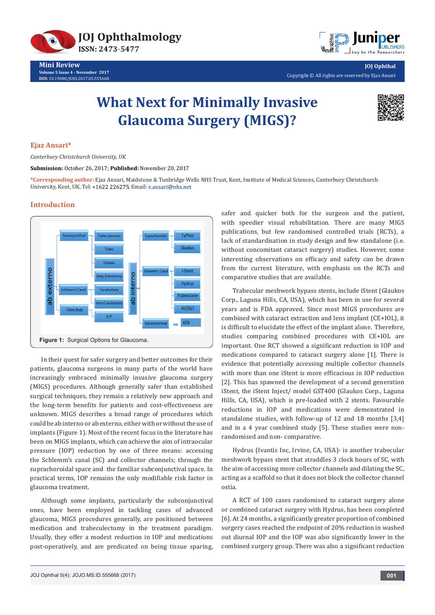

**Mini Review Volume 5 Issue 4 - November 2017 DOI:** [10.19080/JOJO.2017.05.555668](http://dx.doi.org/10.19080/JOJO.2017.05.555668)



**JOJ Ophthal** Copyright © All rights are reserved by Ejaz Ansari

# **What Next for Minimally Invasive Glaucoma Surgery (MIGS)?**



### **Ejaz Ansari\***

*Canterbury Christchurch University, UK*

**Submission:** October 26, 2017; **Published:** November 20, 2017

**\*Corresponding author:** Ejaz Ansari, Maidstone & Tunbridge Wells NHS Trust, Kent, Institute of Medical Sciences, Canterbury Christchurch University, Kent, UK, Tel: +1622 226275; Email: e.ansari@nhs.net

## **Introduction**



In their quest for safer surgery and better outcomes for their patients, glaucoma surgeons in many parts of the world have increasingly embraced minimally invasive glaucoma surgery (MIGS) procedures. Although generally safer than established surgical techniques, they remain a relatively new approach and the long-term benefits for patients and cost-effectiveness are unknown. MIGS describes a broad range of procedures which could be ab interno or ab externo, either with or without the use of implants (Figure 1). Most of the recent focus in the literature has been on MIGS implants, which can achieve the aim of intraocular pressure (IOP) reduction by one of three means: accessing the Schlemm's canal (SC) and collector channels; through the suprachoroidal space and the familiar subconjunctival space. In practical terms, IOP remains the only modifiable risk factor in glaucoma treatment.

Although some implants, particularly the subconjunctival ones, have been employed in tackling cases of advanced glaucoma, MIGS procedures generally, are positioned between medication and trabeculectomy in the treatment paradigm. Usually, they offer a modest reduction in IOP and medications post-operatively, and are predicated on being tissue sparing,

safer and quicker both for the surgeon and the patient, with speedier visual rehabilitation. There are many MIGS publications, but few randomised controlled trials (RCTs), a lack of standardisation in study design and few standalone (i.e. without concomitant cataract surgery) studies. However, some interesting observations on efficacy and safety can be drawn from the current literature, with emphasis on the RCTs and comparative studies that are available.

Trabecular meshwork bypass stents, include iStent (Glaukos Corp., Laguna Hills, CA, USA), which has been in use for several years and is FDA approved. Since most MIGS procedures are combined with cataract extraction and lens implant (CE+IOL), it is difficult to elucidate the effect of the implant alone. Therefore, studies comparing combined procedures with CE+IOL are important. One RCT showed a significant reduction in IOP and medications compared to cataract surgery alone [1]. There is evidence that potentially accessing multiple collector channels with more than one iStent is more efficacious in IOP reduction [2]. This has spawned the development of a second generation iStent, the iStent Inject/ model GST400 (Glaukos Corp., Laguna Hills, CA, USA), which is pre-loaded with 2 stents. Favourable reductions in IOP and medications were demonstrated in standalone studies, with follow-up of 12 and 18 months [3,4] and in a 4 year combined study [5]. These studies were nonrandomised and non- comparative.

Hydrus (Ivantis Inc, Irvine, CA, USA)- is another trabecular meshwork bypass stent that straddles 3 clock hours of SC, with the aim of accessing more collector channels and dilating the SC, acting as a scaffold so that it does not block the collector channel ostia.

A RCT of 100 cases randomised to cataract surgery alone or combined cataract surgery with Hydrus, has been completed [6]. At 24 months, a significantly greater proportion of combined surgery cases reached the endpoint of 20% reduction in washed out diurnal IOP and the IOP was also significantly lower in the combined surgery group. There was also a significant reduction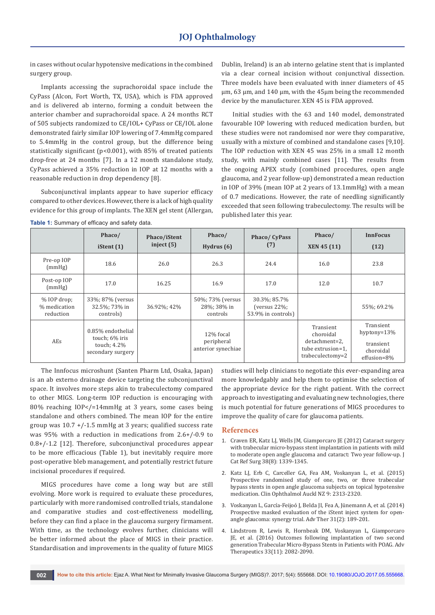in cases without ocular hypotensive medications in the combined surgery group.

Implants accessing the suprachoroidal space include the CyPass (Alcon, Fort Worth, TX, USA), which is FDA approved and is delivered ab interno, forming a conduit between the anterior chamber and suprachoroidal space. A 24 months RCT of 505 subjects randomized to CE/IOL+ CyPass or CE/IOL alone demonstrated fairly similar IOP lowering of 7.4mmHg compared to 5.4mmHg in the control group, but the difference being statistically significant (p<0.001), with 85% of treated patients drop-free at 24 months [7]. In a 12 month standalone study, CyPass achieved a 35% reduction in IOP at 12 months with a reasonable reduction in drop dependency [8].

Subconjunctival implants appear to have superior efficacy compared to other devices. However, there is a lack of high quality evidence for this group of implants. The XEN gel stent (Allergan, Dublin, Ireland) is an ab interno gelatine stent that is implanted via a clear corneal incision without conjunctival dissection. Three models have been evaluated with inner diameters of 45 μm, 63 μm, and 140 μm, with the 45μm being the recommended device by the manufacturer. XEN 45 is FDA approved.

Initial studies with the 63 and 140 model, demonstrated favourable IOP lowering with reduced medication burden, but these studies were not randomised nor were they comparative, usually with a mixture of combined and standalone cases [9,10]. The IOP reduction with XEN 45 was 25% in a small 12 month study, with mainly combined cases [11]. The results from the ongoing APEX study (combined procedures, open angle glaucoma, and 2 year follow-up) demonstrated a mean reduction in IOP of 39% (mean IOP at 2 years of 13.1mmHg) with a mean of 0.7 medications. However, the rate of needling significantly exceeded that seen following trabeculectomy. The results will be published later this year.

|                                            | Phaco/<br>iStent $(1)$                                                  | Phaco/iStent<br>inject $(5)$ | Phaco/<br>Hydrus $(6)$                        | Phaco/CyPass<br>(7)                                    | Phaco/<br>XEN 45 (11)                                                            | <b>InnFocus</b><br>(12)                                              |
|--------------------------------------------|-------------------------------------------------------------------------|------------------------------|-----------------------------------------------|--------------------------------------------------------|----------------------------------------------------------------------------------|----------------------------------------------------------------------|
| Pre-op IOP<br>(mmHg)                       | 18.6                                                                    | 26.0                         | 26.3                                          | 24.4                                                   | 16.0                                                                             | 23.8                                                                 |
| Post-op IOP<br>(mmHg)                      | 17.0                                                                    | 16.25                        | 16.9                                          | 17.0                                                   | 12.0                                                                             | 10.7                                                                 |
| $%$ IOP drop;<br>% medication<br>reduction | 33%; 87% (versus<br>32.5%; 73% in<br>controls)                          | 36.92%; 42%                  | 50%; 73% (versus<br>28%; 38% in<br>controls   | 30.3%; 85.7%<br>(versus $22\%$ ;<br>53.9% in controls) |                                                                                  | 55%; 69.2%                                                           |
| AEs                                        | 0.85% endothelial<br>touch; 6% iris<br>touch; 4.2%<br>secondary surgery |                              | 12% focal<br>peripheral<br>anterior synechiae |                                                        | Transient<br>choroidal<br>detachment=2.<br>tube extrusion=1.<br>trabeculectomy=2 | Transient<br>hyptony= $13%$<br>transient<br>choroidal<br>effusion=8% |

**Table 1:** Summary of efficacy and safety data.

The Innfocus microshunt (Santen Pharm Ltd, Osaka, Japan) is an ab externo drainage device targeting the subconjunctival space. It involves more steps akin to trabeculectomy compared to other MIGS. Long-term IOP reduction is encouraging with 80% reaching IOP</=14mmHg at 3 years, some cases being standalone and others combined. The mean IOP for the entire group was  $10.7$  +/-1.5 mmHg at 3 years; qualified success rate was 95% with a reduction in medications from 2.6+/-0.9 to 0.8+/-1.2 [12]. Therefore, subconjunctival procedures appear to be more efficacious (Table 1), but inevitably require more post-operative bleb management, and potentially restrict future incisional procedures if required.

MIGS procedures have come a long way but are still evolving. More work is required to evaluate these procedures, particularly with more randomised controlled trials, standalone and comparative studies and cost-effectiveness modelling, before they can find a place in the glaucoma surgery firmament. With time, as the technology evolves further, clinicians will be better informed about the place of MIGS in their practice. Standardisation and improvements in the quality of future MIGS

studies will help clinicians to negotiate this ever-expanding area more knowledgably and help them to optimise the selection of the appropriate device for the right patient. With the correct approach to investigating and evaluating new technologies, there is much potential for future generations of MIGS procedures to improve the quality of care for glaucoma patients.

### **References**

- 1. [Craven ER, Katz LJ, Wells JM, Giamporcaro JE \(2012\) Cataract surgery](https://www.ncbi.nlm.nih.gov/pubmed/22814041)  [with trabecular micro-bypass stent implantation in patients with mild](https://www.ncbi.nlm.nih.gov/pubmed/22814041)  [to moderate open angle glaucoma and cataract: Two year follow-up. J](https://www.ncbi.nlm.nih.gov/pubmed/22814041)  [Cat Ref Surg 38\(8\): 1339-1345.](https://www.ncbi.nlm.nih.gov/pubmed/22814041)
- 2. [Katz LJ, Erb C, Carceller GA, Fea AM, Voskanyan L, et al. \(2015\)](https://www.ncbi.nlm.nih.gov/pubmed/26715834)  [Prospective randomised study of one, two, or three trabecular](https://www.ncbi.nlm.nih.gov/pubmed/26715834)  [bypass stents in open angle glaucoma subjects on topical hypotensive](https://www.ncbi.nlm.nih.gov/pubmed/26715834)  [medication. Clin Ophthalmol Auckl NZ 9: 2313-2320.](https://www.ncbi.nlm.nih.gov/pubmed/26715834)
- 3. [Voskanyan L, García-Feijoó J, Belda JI, Fea A, Jünemann A, et al. \(2014\)](https://www.ncbi.nlm.nih.gov/pubmed/24452726/)  [Prospective masked evaluation of the iStent inject system for open](https://www.ncbi.nlm.nih.gov/pubmed/24452726/)[angle glaucoma: synergy trial. Adv Ther 31\(2\): 189-201.](https://www.ncbi.nlm.nih.gov/pubmed/24452726/)
- 4. [Lindstrom R, Lewis R, Hornbeak DM, Voskanyan L, Giamporcaro](https://www.ncbi.nlm.nih.gov/pubmed/27739003/)  [JE, et al. \(2016\) Outcomes following implantation of two second](https://www.ncbi.nlm.nih.gov/pubmed/27739003/)  [generation Trabecular Micro-Bypass Stents in Patients with POAG. Adv](https://www.ncbi.nlm.nih.gov/pubmed/27739003/)  [Therapeutics 33\(11\): 2082-2090.](https://www.ncbi.nlm.nih.gov/pubmed/27739003/)